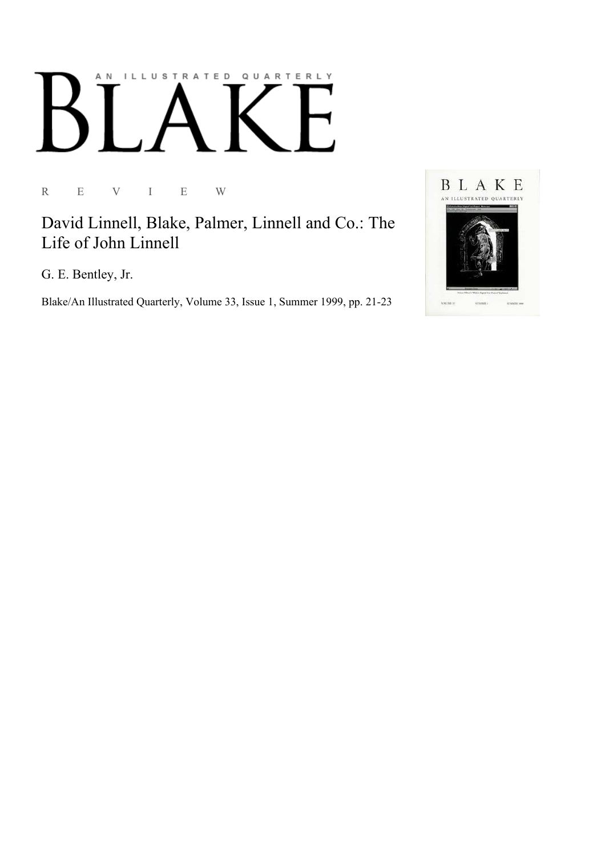## AN ILLUSTRATED QUARTERLY

R E V I E W

David Linnell, Blake, Palmer, Linnell and Co.: The Life of John Linnell

G. E. Bentley, Jr.

Blake/An Illustrated Quarterly, Volume 33, Issue 1, Summer 1999, pp. 21-23

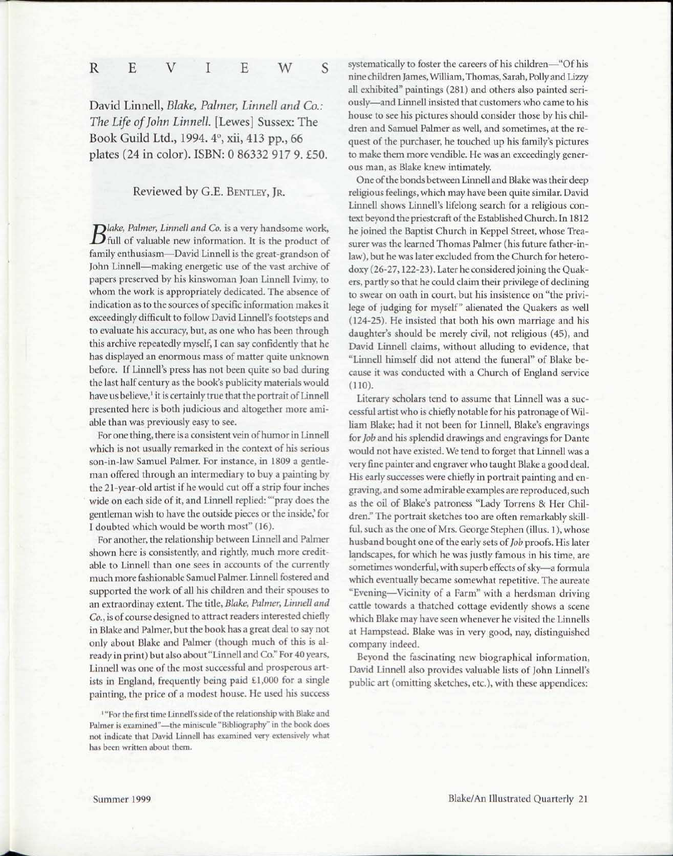## S R E V I E W

David Linnell, *Blake, Palmer, Linnell and Co.: The Life of John Linnell.* [Lewes] Sussex: The Book Guild Ltd., 1994. 4°, xii, 413 pp., 66 plates (24 in color). ISBN: 0 86332 917 9. £50.

## Reviewed by G.E. BENTLEY, JR.

*lake, Palmer, Linnell and Co.* is a very handsome work,  $\bm{D}$ full of valuable new information. It is the product of family enthusiasm—David Linnell is the great-grandson of John Linnell—making energetic use of the vast archive of papers preserved by his kinswoman Joan Linnell Ivimy, to whom the work is appropriately dedicated. The absence of indication as to the sources of specific information makes it exceedingly difficult to follow David Linnell's footsteps and to evaluate his accuracy, but, as one who has been through this archive repeatedly myself, I can say confidently that he has displayed an enormous mass of matter quite unknown before. If Linnell's press has not been quite so bad during the last half century as the book's publicity materials would have us believe,<sup>1</sup> it is certainly true that the portrait of Linnell presented here is both judicious and altogether more amiable than was previously easy to see.

For one thing, there is a consistent vein of humor in Linnell which is not usually remarked in the context of his serious son-in-law Samuel Palmer. For instance, in 1809 a gentleman offered through an intermediary to buy a painting by the 21-year-old artist if he would cut off a strip four inches wide on each side of it, and Linnell replied: "'pray does the gentleman wish to have the outside pieces or the inside,' for I doubted which would be worth most" (16).

For another, the relationship between Linnell and Palmer shown here is consistently, and rightly, much more creditable to Linnell than one sees in accounts of the currently much more fashionable Samuel Palmer. Linnell fostered and supported the work of all his children and their spouses to an extraordinay extent. The title, *Blake, Palmer, Linnell and Co.,* is of course designed to attract readers interested chiefly in Blake and Palmer, but the book has a great deal to say not only about Blake and Palmer (though much of this is already in print) but also about "Linnell and Co." For 40 years, Linnell was one of the most successful and prosperous artists in England, frequently being paid £1,000 for a single painting, the price of a modest house. He used his success

1 "For the first time Linnell's side of the relationship with Blake and Palmer is examined"—the miniscule "Bibliography" in the book does not indicate that David Linnell has examined very extensively what has been written about them.

systematically to foster the careers of his children—"Of his nine children James, William, Thomas, Sarah, Polly and Lizzy all exhibited" paintings (281) and others also painted seriously—and Linnell insisted that customers who came to his house to see his pictures should consider those by his children and Samuel Palmer as well, and sometimes, at the request of the purchaser, he touched up his family's pictures to make them more vendible. He was an exceedingly generous man, as Blake knew intimately.

One of the bonds between Linnell and Blake was their deep religious feelings, which may have been quite similar. David Linnell shows Linnell's lifelong search for a religious context beyond the priestcraft of the Established Church. In 1812 he joined the Baptist Church in Keppel Street, whose Treasurer was the learned Thomas Palmer (his future father-inlaw), but he was later excluded from the Church for heterodoxy (26-27,122-23). Later he considered joining the Quakers, partly so that he could claim their privilege of declining to swear on oath in court, but his insistence on "the privilege of judging for myself" alienated the Quakers as well (124-25). He insisted that both his own marriage and his daughter's should be merely civil, not religious (45), and David Linnell claims, without alluding to evidence, that "Linnell himself did not attend the funeral" of Blake because it was conducted with a Church of England service (110).

Literary scholars tend to assume that Linnell was a successful artist who is chiefly notable for his patronage of William Blake; had it not been for Linnell, Blake's engravings for *Job* and his splendid drawings and engravings for Dante would not have existed. We tend to forget that Linnell was a very fine painter and engraver who taught Blake a good deal. His early successes were chiefly in portrait painting and engraving, and some admirable examples are reproduced, such as the oil of Blake's patroness "Lady Torrens & Her Children." The portrait sketches too are often remarkably skillful, such as the one of Mrs. George Stephen (illus. 1), whose husband bought one of the early sets of *Job* proofs. His later landscapes, for which he was justly famous in his time, are sometimes wonderful, with superb effects of sky—a formula which eventually became somewhat repetitive. The aureate "Evening—Vicinity of a Farm" with a herdsman driving cattle towards a thatched cottage evidently shows a scene which Blake may have seen whenever he visited the Linnells at Hampstead. Blake was in very good, nay, distinguished company indeed.

Beyond the fascinating new biographical information, David Linnell also provides valuable lists of John Linnell's public art (omitting sketches, etc.), with these appendices: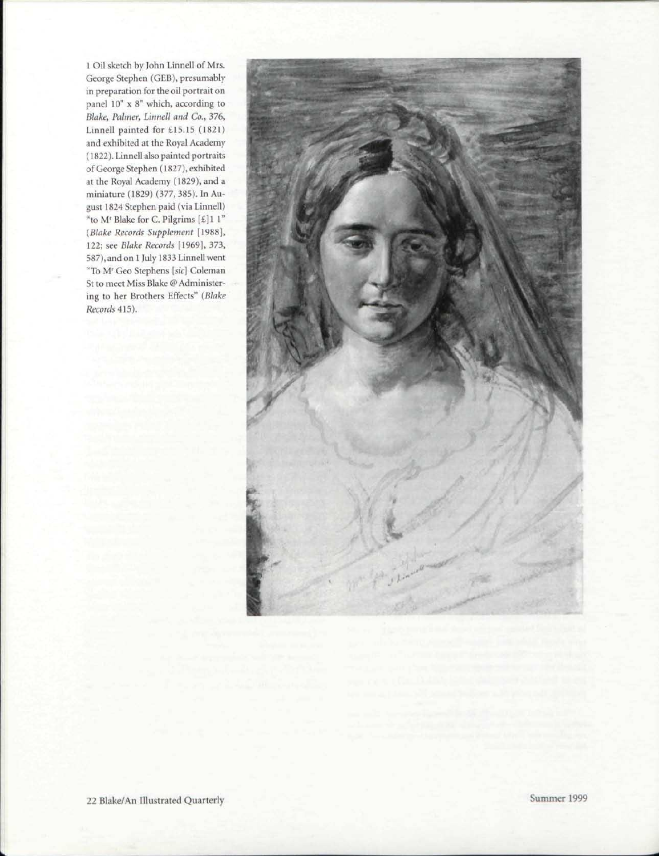1 Oil sketch by John Linnell of Mrs. George Stephen (GEB), presumably in preparation for the oil portrait on panel 10" x 8" which, according to *Blake, Palmer, Linnell and Co.,* 376, Linnell painted for £15.15 (1821) and exhibited at the Royal Academy (1822). Linnell also painted portraits of George Stephen (1827), exhibited at the Royal Academy (1829), and a miniature (1829) (377, 385). In August 1824 Stephen paid (via Linnell) "to M' Blake for C. Pilgrims  $[\text{\ensuremath{\mathfrak{L}}}]$ 1 l" *(Blake Records Supplement* [1988], 122; see *Blake Records* [1969], 373, 587), and on 1 July 1833 Linnell went "To M<sup>r</sup> Geo Stephens *[sic]* Coleman St to meet Miss Blake @ Administering to her Brothers Effects" *(Blake Records* 415).